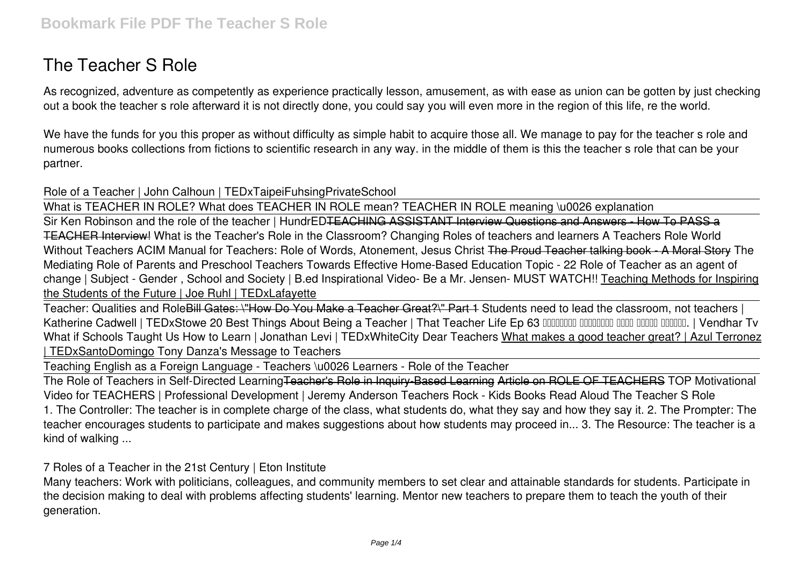# **The Teacher S Role**

As recognized, adventure as competently as experience practically lesson, amusement, as with ease as union can be gotten by just checking out a book **the teacher s role** afterward it is not directly done, you could say you will even more in the region of this life, re the world.

We have the funds for you this proper as without difficulty as simple habit to acquire those all. We manage to pay for the teacher s role and numerous books collections from fictions to scientific research in any way. in the middle of them is this the teacher s role that can be your partner.

**Role of a Teacher | John Calhoun | TEDxTaipeiFuhsingPrivateSchool**

What is TEACHER IN ROLE? What does TEACHER IN ROLE mean? TEACHER IN ROLE meaning \u0026 explanation

Sir Ken Robinson and the role of the teacher | HundrED<del>TEACHING ASSISTANT Interview Questions and Answers - How To PASS a</del> TEACHER Interview! What is the Teacher's Role in the Classroom? Changing Roles of teachers and learners A Teachers Role World Without Teachers **ACIM Manual for Teachers: Role of Words, Atonement, Jesus Christ** The Proud Teacher talking book - A Moral Story The Mediating Role of Parents and Preschool Teachers Towards Effective Home-Based Education Topic - 22 Role of Teacher as an agent of change | Subject - Gender , School and Society | B.ed *Inspirational Video- Be a Mr. Jensen- MUST WATCH!!* Teaching Methods for Inspiring the Students of the Future | Joe Ruhl | TEDxLafayette

Teacher: Qualities and RoleBill Gates: \"How Do You Make a Teacher Great?\" Part 1 **Students need to lead the classroom, not teachers |** Katherine Cadwell | TEDxStowe 20 Best Things About Being a Teacher | That Teacher Life Ep 63 **und and an allow and allow** and all luming | Vendhar Tv What if Schools Taught Us How to Learn | Jonathan Levi | TEDxWhiteCity Dear Teachers What makes a good teacher great? | Azul Terronez | TEDxSantoDomingo *Tony Danza's Message to Teachers*

Teaching English as a Foreign Language - Teachers \u0026 Learners - Role of the Teacher

The Role of Teachers in Self-Directed LearningTeacher's Role in Inquiry-Based Learning Article on ROLE OF TEACHERS *TOP Motivational Video for TEACHERS | Professional Development | Jeremy Anderson* Teachers Rock - Kids Books Read Aloud **The Teacher S Role** 1. The Controller: The teacher is in complete charge of the class, what students do, what they say and how they say it. 2. The Prompter: The teacher encourages students to participate and makes suggestions about how students may proceed in... 3. The Resource: The teacher is a kind of walking ...

**7 Roles of a Teacher in the 21st Century | Eton Institute**

Many teachers: Work with politicians, colleagues, and community members to set clear and attainable standards for students. Participate in the decision making to deal with problems affecting students' learning. Mentor new teachers to prepare them to teach the youth of their generation.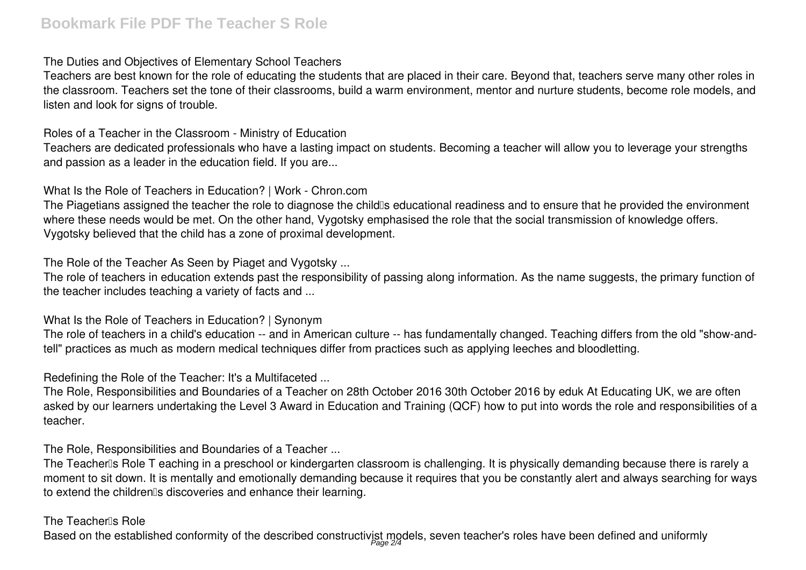## **The Duties and Objectives of Elementary School Teachers**

Teachers are best known for the role of educating the students that are placed in their care. Beyond that, teachers serve many other roles in the classroom. Teachers set the tone of their classrooms, build a warm environment, mentor and nurture students, become role models, and listen and look for signs of trouble.

**Roles of a Teacher in the Classroom - Ministry of Education**

Teachers are dedicated professionals who have a lasting impact on students. Becoming a teacher will allow you to leverage your strengths and passion as a leader in the education field. If you are...

**What Is the Role of Teachers in Education? | Work - Chron.com**

The Piagetians assigned the teacher the role to diagnose the child<sup>®</sup>s educational readiness and to ensure that he provided the environment where these needs would be met. On the other hand, Vygotsky emphasised the role that the social transmission of knowledge offers. Vygotsky believed that the child has a zone of proximal development.

**The Role of the Teacher As Seen by Piaget and Vygotsky ...**

The role of teachers in education extends past the responsibility of passing along information. As the name suggests, the primary function of the teacher includes teaching a variety of facts and ...

## **What Is the Role of Teachers in Education? | Synonym**

The role of teachers in a child's education -- and in American culture -- has fundamentally changed. Teaching differs from the old "show-andtell" practices as much as modern medical techniques differ from practices such as applying leeches and bloodletting.

**Redefining the Role of the Teacher: It's a Multifaceted ...**

The Role, Responsibilities and Boundaries of a Teacher on 28th October 2016 30th October 2016 by eduk At Educating UK, we are often asked by our learners undertaking the Level 3 Award in Education and Training (QCF) how to put into words the role and responsibilities of a teacher.

**The Role, Responsibilities and Boundaries of a Teacher ...**

The Teacher<sup>®</sup>s Role T eaching in a preschool or kindergarten classroom is challenging. It is physically demanding because there is rarely a moment to sit down. It is mentally and emotionally demanding because it requires that you be constantly alert and always searching for ways to extend the children<sup>®</sup>s discoveries and enhance their learning.

## **The Teacher's Role**

Based on the established conformity of the described constructivist models, seven teacher's roles have been defined and uniformly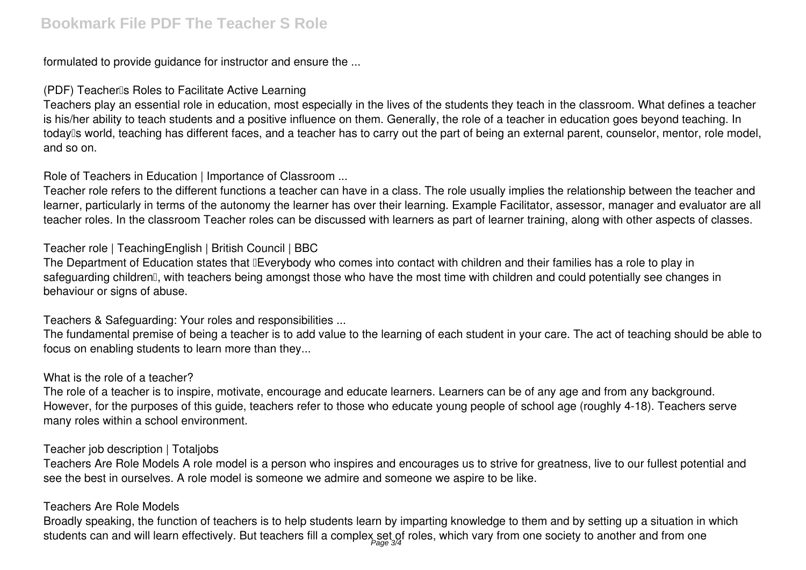formulated to provide guidance for instructor and ensure the ...

## **(PDF) Teacher's Roles to Facilitate Active Learning**

Teachers play an essential role in education, most especially in the lives of the students they teach in the classroom. What defines a teacher is his/her ability to teach students and a positive influence on them. Generally, the role of a teacher in education goes beyond teaching. In today<sup>''</sup>s world, teaching has different faces, and a teacher has to carry out the part of being an external parent, counselor, mentor, role model, and so on.

**Role of Teachers in Education | Importance of Classroom ...**

Teacher role refers to the different functions a teacher can have in a class. The role usually implies the relationship between the teacher and learner, particularly in terms of the autonomy the learner has over their learning. Example Facilitator, assessor, manager and evaluator are all teacher roles. In the classroom Teacher roles can be discussed with learners as part of learner training, along with other aspects of classes.

## **Teacher role | TeachingEnglish | British Council | BBC**

The Department of Education states that **Everybody who comes into contact with children** and their families has a role to play in safeguarding children<sup>"</sup>, with teachers being amongst those who have the most time with children and could potentially see changes in behaviour or signs of abuse.

**Teachers & Safeguarding: Your roles and responsibilities ...**

The fundamental premise of being a teacher is to add value to the learning of each student in your care. The act of teaching should be able to focus on enabling students to learn more than they...

#### **What is the role of a teacher?**

The role of a teacher is to inspire, motivate, encourage and educate learners. Learners can be of any age and from any background. However, for the purposes of this guide, teachers refer to those who educate young people of school age (roughly 4-18). Teachers serve many roles within a school environment.

#### **Teacher job description | Totaljobs**

Teachers Are Role Models A role model is a person who inspires and encourages us to strive for greatness, live to our fullest potential and see the best in ourselves. A role model is someone we admire and someone we aspire to be like.

## **Teachers Are Role Models**

Broadly speaking, the function of teachers is to help students learn by imparting knowledge to them and by setting up a situation in which students can and will learn effectively. But teachers fill a complex set of roles, which vary from one society to another and from one